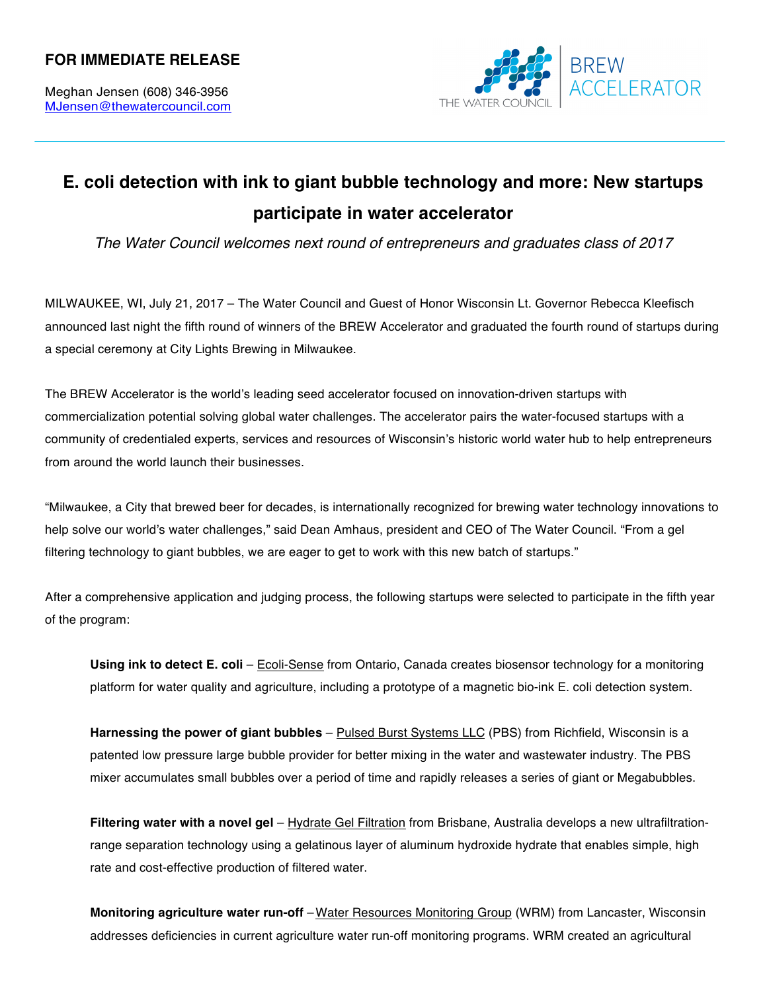## **FOR IMMEDIATE RELEASE**



## **E. coli detection with ink to giant bubble technology and more: New startups participate in water accelerator**

*The Water Council welcomes next round of entrepreneurs and graduates class of 2017*

MILWAUKEE, WI, July 21, 2017 – The Water Council and Guest of Honor Wisconsin Lt. Governor Rebecca Kleefisch announced last night the fifth round of winners of the BREW Accelerator and graduated the fourth round of startups during a special ceremony at City Lights Brewing in Milwaukee.

The BREW Accelerator is the world's leading seed accelerator focused on innovation-driven startups with commercialization potential solving global water challenges. The accelerator pairs the water-focused startups with a community of credentialed experts, services and resources of Wisconsin's historic world water hub to help entrepreneurs from around the world launch their businesses.

"Milwaukee, a City that brewed beer for decades, is internationally recognized for brewing water technology innovations to help solve our world's water challenges," said Dean Amhaus, president and CEO of The Water Council. "From a gel filtering technology to giant bubbles, we are eager to get to work with this new batch of startups."

After a comprehensive application and judging process, the following startups were selected to participate in the fifth year of the program:

**Using ink to detect E. coli** – Ecoli-Sense from Ontario, Canada creates biosensor technology for a monitoring platform for water quality and agriculture, including a prototype of a magnetic bio-ink E. coli detection system.

**Harnessing the power of giant bubbles** – Pulsed Burst Systems LLC (PBS) from Richfield, Wisconsin is a patented low pressure large bubble provider for better mixing in the water and wastewater industry. The PBS mixer accumulates small bubbles over a period of time and rapidly releases a series of giant or Megabubbles.

**Filtering water with a novel gel** – Hydrate Gel Filtration from Brisbane, Australia develops a new ultrafiltrationrange separation technology using a gelatinous layer of aluminum hydroxide hydrate that enables simple, high rate and cost-effective production of filtered water.

**Monitoring agriculture water run-off** –Water Resources Monitoring Group (WRM) from Lancaster, Wisconsin addresses deficiencies in current agriculture water run-off monitoring programs. WRM created an agricultural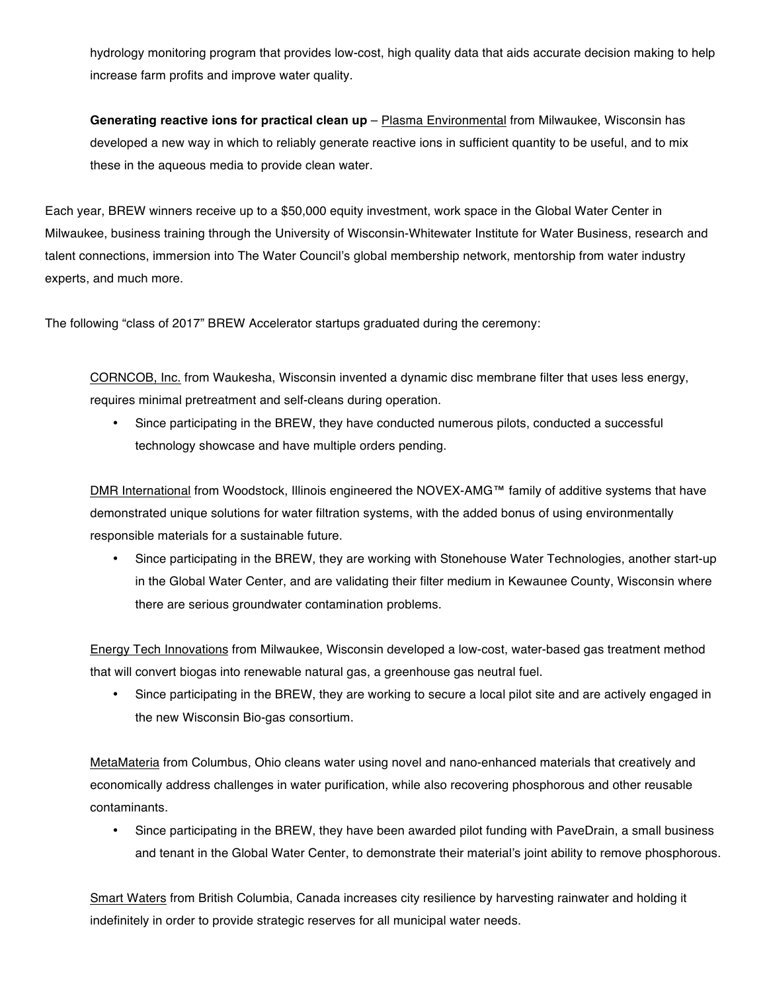hydrology monitoring program that provides low-cost, high quality data that aids accurate decision making to help increase farm profits and improve water quality.

**Generating reactive ions for practical clean up** – Plasma Environmental from Milwaukee, Wisconsin has developed a new way in which to reliably generate reactive ions in sufficient quantity to be useful, and to mix these in the aqueous media to provide clean water.

Each year, BREW winners receive up to a \$50,000 equity investment, work space in the Global Water Center in Milwaukee, business training through the University of Wisconsin-Whitewater Institute for Water Business, research and talent connections, immersion into The Water Council's global membership network, mentorship from water industry experts, and much more.

The following "class of 2017" BREW Accelerator startups graduated during the ceremony:

CORNCOB, Inc. from Waukesha, Wisconsin invented a dynamic disc membrane filter that uses less energy, requires minimal pretreatment and self-cleans during operation.

• Since participating in the BREW, they have conducted numerous pilots, conducted a successful technology showcase and have multiple orders pending.

DMR International from Woodstock, Illinois engineered the NOVEX-AMG™ family of additive systems that have demonstrated unique solutions for water filtration systems, with the added bonus of using environmentally responsible materials for a sustainable future.

• Since participating in the BREW, they are working with Stonehouse Water Technologies, another start-up in the Global Water Center, and are validating their filter medium in Kewaunee County, Wisconsin where there are serious groundwater contamination problems.

Energy Tech Innovations from Milwaukee, Wisconsin developed a low-cost, water-based gas treatment method that will convert biogas into renewable natural gas, a greenhouse gas neutral fuel.

• Since participating in the BREW, they are working to secure a local pilot site and are actively engaged in the new Wisconsin Bio-gas consortium.

MetaMateria from Columbus, Ohio cleans water using novel and nano-enhanced materials that creatively and economically address challenges in water purification, while also recovering phosphorous and other reusable contaminants.

• Since participating in the BREW, they have been awarded pilot funding with PaveDrain, a small business and tenant in the Global Water Center, to demonstrate their material's joint ability to remove phosphorous.

Smart Waters from British Columbia, Canada increases city resilience by harvesting rainwater and holding it indefinitely in order to provide strategic reserves for all municipal water needs.